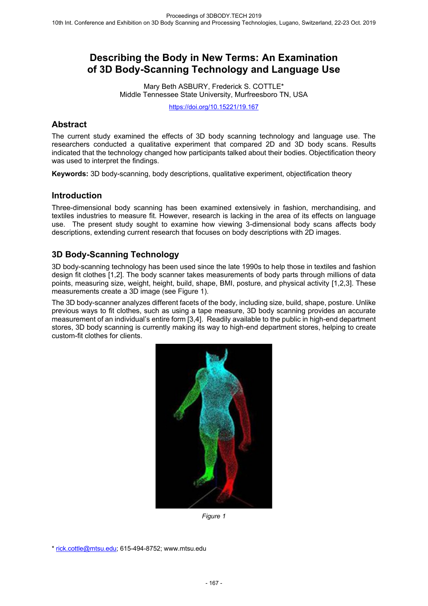# **Describing the Body in New Terms: An Examination of 3D Body-Scanning Technology and Language Use**

Mary Beth ASBURY, Frederick S. COTTLE\* Middle Tennessee State University, Murfreesboro TN, USA

https://doi.org/10.15221/19.167

### **Abstract**

The current study examined the effects of 3D body scanning technology and language use. The researchers conducted a qualitative experiment that compared 2D and 3D body scans. Results indicated that the technology changed how participants talked about their bodies. Objectification theory was used to interpret the findings.

**Keywords:** 3D body-scanning, body descriptions, qualitative experiment, objectification theory

### **Introduction**

Three-dimensional body scanning has been examined extensively in fashion, merchandising, and textiles industries to measure fit. However, research is lacking in the area of its effects on language use. The present study sought to examine how viewing 3-dimensional body scans affects body descriptions, extending current research that focuses on body descriptions with 2D images.

## **3D Body-Scanning Technology**

3D body-scanning technology has been used since the late 1990s to help those in textiles and fashion design fit clothes [1,2]. The body scanner takes measurements of body parts through millions of data points, measuring size, weight, height, build, shape, BMI, posture, and physical activity [1,2,3]. These measurements create a 3D image (see Figure 1).

The 3D body-scanner analyzes different facets of the body, including size, build, shape, posture. Unlike previous ways to fit clothes, such as using a tape measure, 3D body scanning provides an accurate measurement of an individual's entire form [3,4]. Readily available to the public in high-end department stores, 3D body scanning is currently making its way to high-end department stores, helping to create custom-fit clothes for clients.



*Figure 1* 

<sup>\*</sup> rick.cottle@mtsu.edu; 615-494-8752; www.mtsu.edu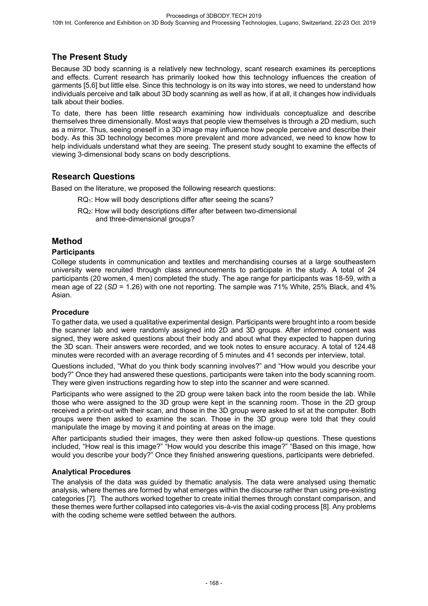# **The Present Study**

Because 3D body scanning is a relatively new technology, scant research examines its perceptions and effects. Current research has primarily looked how this technology influences the creation of garments [5,6] but little else. Since this technology is on its way into stores, we need to understand how individuals perceive and talk about 3D body scanning as well as how, if at all, it changes how individuals talk about their bodies.

To date, there has been little research examining how individuals conceptualize and describe themselves three dimensionally. Most ways that people view themselves is through a 2D medium, such as a mirror. Thus, seeing oneself in a 3D image may influence how people perceive and describe their body. As this 3D technology becomes more prevalent and more advanced, we need to know how to help individuals understand what they are seeing. The present study sought to examine the effects of viewing 3-dimensional body scans on body descriptions.

# **Research Questions**

Based on the literature, we proposed the following research questions:

- RQ<sub>1</sub>: How will body descriptions differ after seeing the scans?
- RQ2: How will body descriptions differ after between two-dimensional and three-dimensional groups?

## **Method**

#### **Participants**

College students in communication and textiles and merchandising courses at a large southeastern university were recruited through class announcements to participate in the study. A total of 24 participants (20 women, 4 men) completed the study. The age range for participants was 18-59, with a mean age of 22 (*SD* = 1.26) with one not reporting. The sample was 71% White, 25% Black, and 4% Asian.

#### **Procedure**

To gather data, we used a qualitative experimental design. Participants were brought into a room beside the scanner lab and were randomly assigned into 2D and 3D groups. After informed consent was signed, they were asked questions about their body and about what they expected to happen during the 3D scan. Their answers were recorded, and we took notes to ensure accuracy. A total of 124.48 minutes were recorded with an average recording of 5 minutes and 41 seconds per interview, total.

Questions included, "What do you think body scanning involves?" and "How would you describe your body?" Once they had answered these questions, participants were taken into the body scanning room. They were given instructions regarding how to step into the scanner and were scanned.

Participants who were assigned to the 2D group were taken back into the room beside the lab. While those who were assigned to the 3D group were kept in the scanning room. Those in the 2D group received a print-out with their scan, and those in the 3D group were asked to sit at the computer. Both groups were then asked to examine the scan. Those in the 3D group were told that they could manipulate the image by moving it and pointing at areas on the image.

After participants studied their images, they were then asked follow-up questions. These questions included, "How real is this image?" "How would you describe this image?" "Based on this image, how would you describe your body?" Once they finished answering questions, participants were debriefed.

#### **Analytical Procedures**

The analysis of the data was guided by thematic analysis. The data were analysed using thematic analysis, where themes are formed by what emerges within the discourse rather than using pre-existing categories [7]. The authors worked together to create initial themes through constant comparison, and these themes were further collapsed into categories vis-à-vis the axial coding process [8]. Any problems with the coding scheme were settled between the authors.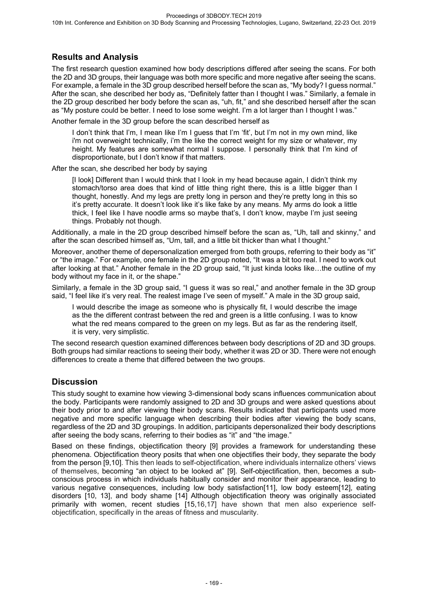# **Results and Analysis**

The first research question examined how body descriptions differed after seeing the scans. For both the 2D and 3D groups, their language was both more specific and more negative after seeing the scans. For example, a female in the 3D group described herself before the scan as, "My body? I guess normal." After the scan, she described her body as, "Definitely fatter than I thought I was." Similarly, a female in the 2D group described her body before the scan as, "uh, fit," and she described herself after the scan as "My posture could be better. I need to lose some weight. I'm a lot larger than I thought I was."

Another female in the 3D group before the scan described herself as

I don't think that I'm, I mean like I'm I guess that I'm 'fit', but I'm not in my own mind, like i'm not overweight technically, i'm the like the correct weight for my size or whatever, my height. My features are somewhat normal I suppose. I personally think that I'm kind of disproportionate, but I don't know if that matters.

After the scan, she described her body by saying

[I look] Different than I would think that I look in my head because again, I didn't think my stomach/torso area does that kind of little thing right there, this is a little bigger than I thought, honestly. And my legs are pretty long in person and they're pretty long in this so it's pretty accurate. It doesn't look like it's like fake by any means. My arms do look a little thick, I feel like I have noodle arms so maybe that's, I don't know, maybe I'm just seeing things. Probably not though.

Additionally, a male in the 2D group described himself before the scan as, "Uh, tall and skinny," and after the scan described himself as, "Um, tall, and a little bit thicker than what I thought."

Moreover, another theme of depersonalization emerged from both groups, referring to their body as "it" or "the image." For example, one female in the 2D group noted, "It was a bit too real. I need to work out after looking at that." Another female in the 2D group said, "It just kinda looks like…the outline of my body without my face in it, or the shape."

Similarly, a female in the 3D group said, "I guess it was so real," and another female in the 3D group said, "I feel like it's very real. The realest image I've seen of myself." A male in the 3D group said,

I would describe the image as someone who is physically fit, I would describe the image as the the different contrast between the red and green is a little confusing. I was to know what the red means compared to the green on my legs. But as far as the rendering itself, it is very, very simplistic.

The second research question examined differences between body descriptions of 2D and 3D groups. Both groups had similar reactions to seeing their body, whether it was 2D or 3D. There were not enough differences to create a theme that differed between the two groups.

## **Discussion**

This study sought to examine how viewing 3-dimensional body scans influences communication about the body. Participants were randomly assigned to 2D and 3D groups and were asked questions about their body prior to and after viewing their body scans. Results indicated that participants used more negative and more specific language when describing their bodies after viewing the body scans, regardless of the 2D and 3D groupings. In addition, participants depersonalized their body descriptions after seeing the body scans, referring to their bodies as "it" and "the image."

Based on these findings, objectification theory [9] provides a framework for understanding these phenomena. Objectification theory posits that when one objectifies their body, they separate the body from the person [9,10]. This then leads to self-objectification, where individuals internalize others' views of themselves, becoming "an object to be looked at" [9]. Self-objectification, then, becomes a subconscious process in which individuals habitually consider and monitor their appearance, leading to various negative consequences, including low body satisfaction[11], low body esteem[12], eating disorders [10, 13], and body shame [14] Although objectification theory was originally associated primarily with women, recent studies [15,16,17] have shown that men also experience selfobjectification, specifically in the areas of fitness and muscularity.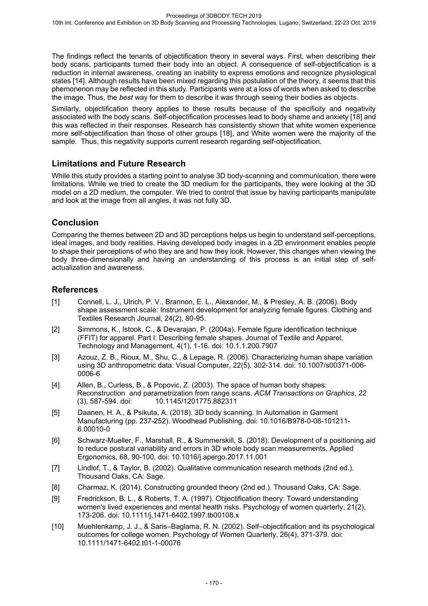The findings reflect the tenants of objectification theory in several ways. First, when describing their body scans, participants turned their body into an object. A consequence of self-objectification is a reduction in internal awareness, creating an inability to express emotions and recognize physiological states [14]. Although results have been mixed regarding this postulation of the theory, it seems that this phemonenon may be reflected in this study. Participants were at a loss of words when asked to describe the image. Thus, the *best* way for them to describe it was through seeing their bodies as objects.

Similarly, objectification theory applies to these results because of the specificity and negativity associated with the body scans. Self-objectification processes lead to body shame and anxiety [18] and this was reflected in their responses. Research has consistently shown that white women experience more self-objectification than those of other groups [18], and White women were the majority of the sample. Thus, this negativity supports current research regarding self-objectification.

### **Limitations and Future Research**

While this study provides a starting point to analyse 3D body-scanning and communication, there were limitations. While we tried to create the 3D medium for the participants, they were looking at the 3D model on a 2D medium, the computer. We tried to control that issue by having participants manipulate and look at the image from all angles, it was not fully 3D.

# **Conclusion**

Comparing the themes between 2D and 3D perceptions helps us begin to understand self-perceptions, ideal images, and body realities. Having developed body images in a 2D environment enables people to shape their perceptions of who they are and how they look. However, this changes when viewing the body three-dimensionally and having an understanding of this process is an initial step of selfactualization and awareness.

### **References**

- [1] Connell, L. J., Ulrich, P. V., Brannon, E. L., Alexander, M., & Presley, A. B. (2006). Body shape assessment scale: Instrument development for analyzing female figures. Clothing and Textiles Research Journal, 24(2), 80-95.
- [2] Simmons, K., Istook, C., & Devarajan, P. (2004a). Female figure identification technique (FFIT) for apparel. Part I: Describing female shapes. Journal of Textile and Apparel, Technology and Management, 4(1), 1-16. doi: 10.1.1.200.7907
- [3] Azouz, Z. B., Rioux, M., Shu, C., & Lepage, R. (2006). Characterizing human shape variation using 3D anthropometric data. Visual Computer, 22(5), 302-314. doi: 10.1007/s00371-006- 0006-6
- [4] Allen, B., Curless, B., & Popovic, Z. (2003). The space of human body shapes: Reconstruction and parametrization from range scans. *ACM Transactions on Graphics*, *22*  (3), 587-594. doi: 10.1145/1201775.882311
- [5] Daanen, H. A., & Psikuta, A. (2018). 3D body scanning. In Automation in Garment Manufacturing (pp. 237-252). Woodhead Publishing. doi: 10.1016/B978-0-08-101211- 6.00010-0
- [6] Schwarz-Mueller, F., Marshall, R., & Summerskill, S. (2018). Development of a positioning aid to reduce postural variability and errors in 3D whole body scan measurements. Applied Ergonomics, 68, 90-100. doi: 10.1016/j.apergo.2017.11.001
- [7] Lindlof, T., & Taylor, B. (2002). Qualitative communication research methods (2nd ed.). Thousand Oaks, CA: Sage.
- [8] Charmaz, K. (2014). Constructing grounded theory (2nd ed.). Thousand Oaks, CA: Sage.
- [9] Fredrickson, B. L., & Roberts, T. A. (1997). Objectification theory: Toward understanding women's lived experiences and mental health risks. Psychology of women quarterly, 21(2), 173-206. doi: 10.1111/j.1471-6402.1997.tb00108.x
- [10] Muehlenkamp, J. J., & Saris–Baglama, R. N. (2002). Self–objectification and its psychological outcomes for college women. Psychology of Women Quarterly, 26(4), 371-379. doi: 10.1111/1471-6402.t01-1-00076